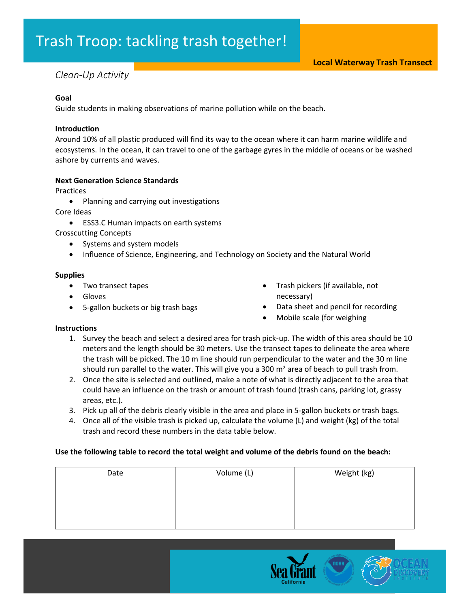# Trash Troop: tackling trash together!

## *Clean-Up Activity*

#### **Goal**

Guide students in making observations of marine pollution while on the beach.

#### **Introduction**

Around 10% of all plastic produced will find its way to the ocean where it can harm marine wildlife and ecosystems. In the ocean, it can travel to one of the garbage gyres in the middle of oceans or be washed ashore by currents and waves.

#### **Next Generation Science Standards**

Practices

- Planning and carrying out investigations
- Core Ideas
	- ESS3.C Human impacts on earth systems

Crosscutting Concepts

- Systems and system models
- Influence of Science, Engineering, and Technology on Society and the Natural World

#### **Supplies**

- Two transect tapes
- Gloves
- 5-gallon buckets or big trash bags
- Trash pickers (if available, not necessary)
- Data sheet and pencil for recording
- Mobile scale (for weighing

### **Instructions**

- 1. Survey the beach and select a desired area for trash pick-up. The width of this area should be 10 meters and the length should be 30 meters. Use the transect tapes to delineate the area where the trash will be picked. The 10 m line should run perpendicular to the water and the 30 m line should run parallel to the water. This will give you a 300  $m<sup>2</sup>$  area of beach to pull trash from.
- 2. Once the site is selected and outlined, make a note of what is directly adjacent to the area that could have an influence on the trash or amount of trash found (trash cans, parking lot, grassy areas, etc.).
- 3. Pick up all of the debris clearly visible in the area and place in 5-gallon buckets or trash bags.
- 4. Once all of the visible trash is picked up, calculate the volume (L) and weight (kg) of the total trash and record these numbers in the data table below.

### **Use the following table to record the total weight and volume of the debris found on the beach:**

| Date | Volume (L) | Weight (kg) |
|------|------------|-------------|
|      |            |             |
|      |            |             |
|      |            |             |
|      |            |             |